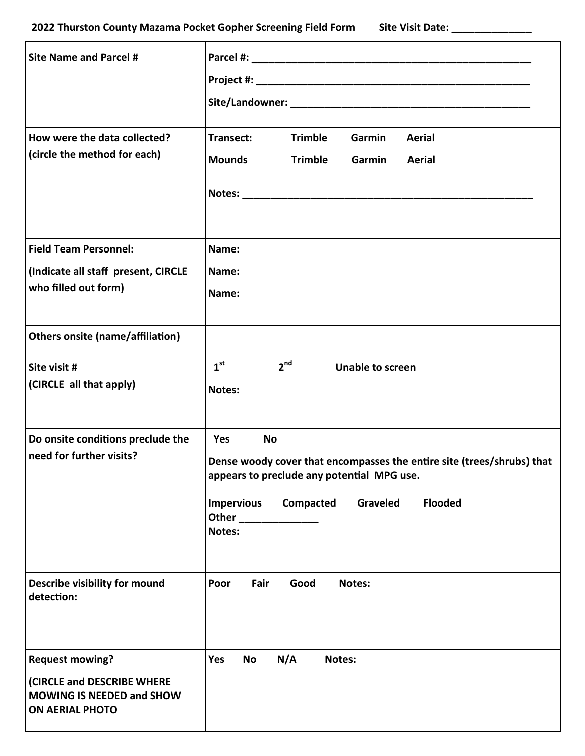| <b>Site Name and Parcel #</b><br>How were the data collected?<br>(circle the method for each)                      | <b>Trimble</b><br>Garmin<br><b>Aerial</b><br>Transect:<br><b>Mounds</b><br><b>Trimble</b><br>Garmin<br><b>Aerial</b>                                                                                               |
|--------------------------------------------------------------------------------------------------------------------|--------------------------------------------------------------------------------------------------------------------------------------------------------------------------------------------------------------------|
| <b>Field Team Personnel:</b><br>(Indicate all staff present, CIRCLE<br>who filled out form)                        | Name:<br>Name:<br>Name:                                                                                                                                                                                            |
| <b>Others onsite (name/affiliation)</b>                                                                            |                                                                                                                                                                                                                    |
| Site visit #<br>(CIRCLE all that apply)                                                                            | 1 <sup>st</sup><br>2 <sup>nd</sup><br><b>Unable to screen</b><br>Notes:                                                                                                                                            |
| Do onsite conditions preclude the<br>need for further visits?                                                      | Yes<br><b>No</b><br>Dense woody cover that encompasses the entire site (trees/shrubs) that<br>appears to preclude any potential MPG use.<br><b>Flooded</b><br><b>Impervious</b><br>Compacted<br>Graveled<br>Notes: |
| Describe visibility for mound<br>detection:                                                                        | Poor<br>Fair<br>Good<br>Notes:                                                                                                                                                                                     |
| <b>Request mowing?</b><br>(CIRCLE and DESCRIBE WHERE<br><b>MOWING IS NEEDED and SHOW</b><br><b>ON AERIAL PHOTO</b> | N/A<br>Yes<br><b>No</b><br>Notes:                                                                                                                                                                                  |